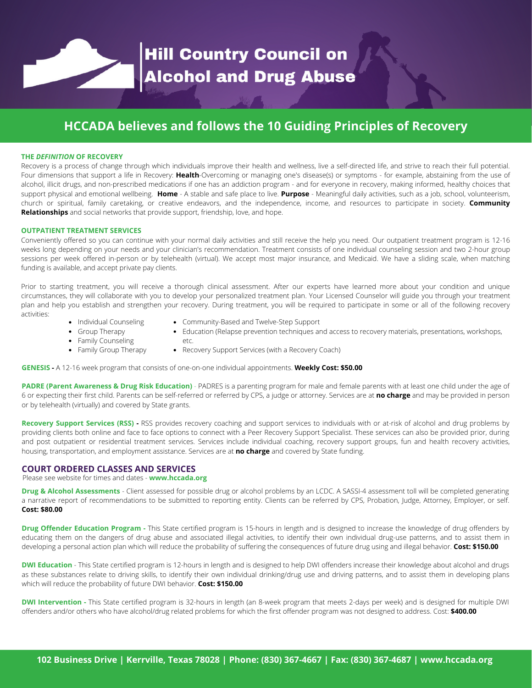# Hill Country Council on<br>Alcohol and Drug Abuse

# **HCCADA believes and follows the 10 Guiding Principles of Recovery**

# **THE** *DEFINITION* **OF RECOVERY**

Recovery is a process of change through which individuals improve their health and wellness, live a self-directed life, and strive to reach their full potential. Four dimensions that support a life in Recovery: **Health**-Overcoming or managing one's disease(s) or symptoms - for example, abstaining from the use of alcohol, illicit drugs, and non-prescribed medications if one has an addiction program - and for everyone in recovery, making informed, healthy choices that support physical and emotional wellbeing. **Home** - A stable and safe place to live. **Purpose** - Meaningful daily activities, such as a job, school, volunteerism, church or spiritual, family caretaking, or creative endeavors, and the independence, income, and resources to participate in society. **Community Relationships** and social networks that provide support, friendship, love, and hope.

# **OUTPATIENT TREATMENT SERVICES**

Conveniently offered so you can continue with your normal daily activities and still receive the help you need. Our outpatient treatment program is 12-16 weeks long depending on your needs and your clinician's recommendation. Treatment consists of one individual counseling session and two 2-hour group sessions per week offered in-person or by telehealth (virtual). We accept most major insurance, and Medicaid. We have a sliding scale, when matching funding is available, and accept private pay clients.

Prior to starting treatment, you will receive a thorough clinical assessment. After our experts have learned more about your condition and unique circumstances, they will collaborate with you to develop your personalized treatment plan. Your Licensed Counselor will guide you through your treatment plan and help you establish and strengthen your recovery. During treatment, you will be required to participate in some or all of the following recovery activities: Community-Based and Twelve-Step Support

Education (Relapse prevention techniques and access to recovery materials, presentations, workshops,

- Individual Counseling
- Group Therapy
- Family Counseling
- Family Group Therapy
- etc.
- Recovery Support Services (with a Recovery Coach)

**GENESIS -** A 12-16 week program that consists of one-on-one individual appointments. **Weekly Cost: \$50.00**

**PADRE (Parent Awareness & Drug Risk Education)** - PADRES is a parenting program for male and female parents with at least one child under the age of 6 or expecting their first child. Parents can be self-referred or referred by CPS, a judge or attorney. Services are at **no charge** and may be provided in person or by telehealth (virtually) and covered by State grants.

**Recovery Support Services (RSS) -** RSS provides recovery coaching and support services to individuals with or at-risk of alcohol and drug problems by providing clients both online and face to face options to connect with a Peer Recovery Support Specialist. These services can also be provided prior, during and post outpatient or residential treatment services. Services include individual coaching, recovery support groups, fun and health recovery activities, housing, transportation, and employment assistance. Services are at **no charge** and covered by State funding.

# **COURT ORDERED CLASSES AND SERVICES**

Please see website for times and dates - **www.hccada.org**

**Drug & Alcohol Assessments** - Client assessed for possible drug or alcohol problems by an LCDC. A SASSI-4 assessment toll will be completed generating a narrative report of recommendations to be submitted to reporting entity. Clients can be referred by CPS, Probation, Judge, Attorney, Employer, or self. **Cost: \$80.00**

**Drug Offender Education Program -** This State certified program is 15-hours in length and is designed to increase the knowledge of drug offenders by educating them on the dangers of drug abuse and associated illegal activities, to identify their own individual drug-use patterns, and to assist them in developing a personal action plan which will reduce the probability of suffering the consequences of future drug using and illegal behavior. **Cost: \$150.00**

**DWI Education** - This State certified program is 12-hours in length and is designed to help DWI offenders increase their knowledge about alcohol and drugs as these substances relate to driving skills, to identify their own individual drinking/drug use and driving patterns, and to assist them in developing plans which will reduce the probability of future DWI behavior. **Cost: \$150.00**

**DWI Intervention -** This State certified program is 32-hours in length (an 8-week program that meets 2-days per week) and is designed for multiple DWI offenders and/or others who have alcohol/drug related problems for which the first offender program was not designed to address. Cost: **\$400.00**